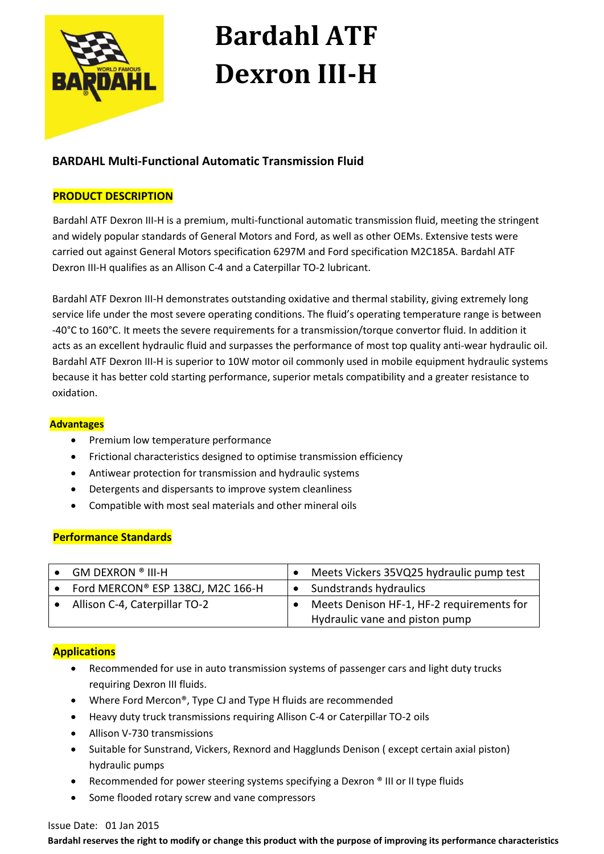

# **Bardahl ATF Dexron III-H**

## **BARDAHL Multi-Functional Automatic Transmission Fluid**

#### **PRODUCT DESCRIPTION**

Bardahl ATF Dexron III-H is a premium, multi-functional automatic transmission fluid, meeting the stringent and widely popular standards of General Motors and Ford, as well as other OEMs. Extensive tests were carried out against General Motors specification 6297M and Ford specification M2C185A. Bardahl ATF Dexron III-H qualifies as an Allison C-4 and a Caterpillar TO-2 lubricant.

 Bardahl ATF Dexron III-H demonstrates outstanding oxidative and thermal stability, giving extremely long service life under the most severe operating conditions. The fluid's operating temperature range is between -40°C to 160°C. It meets the severe requirements for a transmission/torque convertor fluid. In addition it acts as an excellent hydraulic fluid and surpasses the performance of most top quality anti-wear hydraulic oil. Bardahl ATF Dexron III-H is superior to 10W motor oil commonly used in mobile equipment hydraulic systems because it has better cold starting performance, superior metals compatibility and a greater resistance to oxidation.

#### **Advantages**

- Premium low temperature performance
- Frictional characteristics designed to optimise transmission efficiency
- Antiwear protection for transmission and hydraulic systems
- Detergents and dispersants to improve system cleanliness
- Compatible with most seal materials and other mineral oils

### **Performance Standards**

| GM DEXRON ® III-H                 | Meets Vickers 35VQ25 hydraulic pump test                                    |
|-----------------------------------|-----------------------------------------------------------------------------|
| Ford MERCON® ESP 138CJ, M2C 166-H | Sundstrands hydraulics                                                      |
| Allison C-4, Caterpillar TO-2     | Meets Denison HF-1, HF-2 requirements for<br>Hydraulic vane and piston pump |

### **Applications**

- Recommended for use in auto transmission systems of passenger cars and light duty trucks requiring Dexron III fluids.
- Where Ford Mercon®, Type CJ and Type H fluids are recommended
- Heavy duty truck transmissions requiring Allison C-4 or Caterpillar TO-2 oils
- Allison V-730 transmissions
- Suitable for Sunstrand, Vickers, Rexnord and Hagglunds Denison ( except certain axial piston) hydraulic pumps
- Recommended for power steering systems specifying a Dexron ® III or II type fluids
- Some flooded rotary screw and vane compressors

#### Issue Date: 01 Jan 2015

**Bardahl reserves the right to modify or change this product with the purpose of improving its performance characteristics**